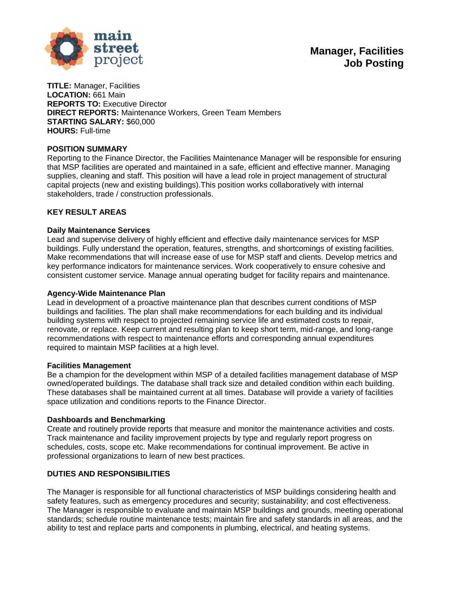

**TITLE:** Manager, Facilities **LOCATION:** 661 Main **REPORTS TO:** Executive Director **DIRECT REPORTS:** Maintenance Workers, Green Team Members **STARTING SALARY:** \$60,000 **HOURS:** Full-time

### **POSITION SUMMARY**

Reporting to the Finance Director, the Facilities Maintenance Manager will be responsible for ensuring that MSP facilities are operated and maintained in a safe, efficient and effective manner. Managing supplies, cleaning and staff. This position will have a lead role in project management of structural capital projects (new and existing buildings).This position works collaboratively with internal stakeholders, trade / construction professionals.

## **KEY RESULT AREAS**

#### **Daily Maintenance Services**

Lead and supervise delivery of highly efficient and effective daily maintenance services for MSP buildings. Fully understand the operation, features, strengths, and shortcomings of existing facilities. Make recommendations that will increase ease of use for MSP staff and clients. Develop metrics and key performance indicators for maintenance services. Work cooperatively to ensure cohesive and consistent customer service. Manage annual operating budget for facility repairs and maintenance.

#### **Agency-Wide Maintenance Plan**

Lead in development of a proactive maintenance plan that describes current conditions of MSP buildings and facilities. The plan shall make recommendations for each building and its individual building systems with respect to projected remaining service life and estimated costs to repair, renovate, or replace. Keep current and resulting plan to keep short term, mid-range, and long-range recommendations with respect to maintenance efforts and corresponding annual expenditures required to maintain MSP facilities at a high level.

#### **Facilities Management**

Be a champion for the development within MSP of a detailed facilities management database of MSP owned/operated buildings. The database shall track size and detailed condition within each building. These databases shall be maintained current at all times. Database will provide a variety of facilities space utilization and conditions reports to the Finance Director.

#### **Dashboards and Benchmarking**

Create and routinely provide reports that measure and monitor the maintenance activities and costs. Track maintenance and facility improvement projects by type and regularly report progress on schedules, costs, scope etc. Make recommendations for continual improvement. Be active in professional organizations to learn of new best practices.

#### **DUTIES AND RESPONSIBILITIES**

The Manager is responsible for all functional characteristics of MSP buildings considering health and safety features, such as emergency procedures and security; sustainability; and cost effectiveness. The Manager is responsible to evaluate and maintain MSP buildings and grounds, meeting operational standards; schedule routine maintenance tests; maintain fire and safety standards in all areas, and the ability to test and replace parts and components in plumbing, electrical, and heating systems.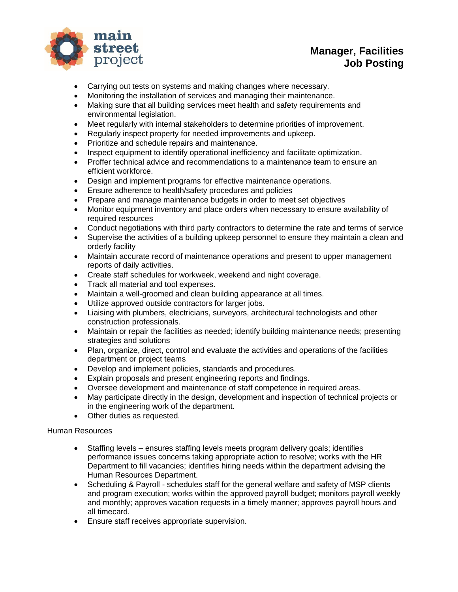

# **Manager, Facilities Job Posting**

- Carrying out tests on systems and making changes where necessary.
- Monitoring the installation of services and managing their maintenance.
- Making sure that all building services meet health and safety requirements and environmental legislation.
- Meet regularly with internal stakeholders to determine priorities of improvement.
- Regularly inspect property for needed improvements and upkeep.
- Prioritize and schedule repairs and maintenance.
- Inspect equipment to identify operational inefficiency and facilitate optimization.
- Proffer technical advice and recommendations to a maintenance team to ensure an efficient workforce.
- Design and implement programs for effective maintenance operations.
- Ensure adherence to health/safety procedures and policies
- Prepare and manage maintenance budgets in order to meet set objectives
- Monitor equipment inventory and place orders when necessary to ensure availability of required resources
- Conduct negotiations with third party contractors to determine the rate and terms of service
- Supervise the activities of a building upkeep personnel to ensure they maintain a clean and orderly facility
- Maintain accurate record of maintenance operations and present to upper management reports of daily activities.
- Create staff schedules for workweek, weekend and night coverage.
- Track all material and tool expenses.
- Maintain a well-groomed and clean building appearance at all times.
- Utilize approved outside contractors for larger jobs.
- Liaising with plumbers, electricians, surveyors, architectural technologists and other construction professionals.
- Maintain or repair the facilities as needed; identify building maintenance needs; presenting strategies and solutions
- Plan, organize, direct, control and evaluate the activities and operations of the facilities department or project teams
- Develop and implement policies, standards and procedures.
- Explain proposals and present engineering reports and findings.
- Oversee development and maintenance of staff competence in required areas.
- May participate directly in the design, development and inspection of technical projects or in the engineering work of the department.
- Other duties as requested.

### Human Resources

- Staffing levels ensures staffing levels meets program delivery goals; identifies performance issues concerns taking appropriate action to resolve; works with the HR Department to fill vacancies; identifies hiring needs within the department advising the Human Resources Department.
- Scheduling & Payroll schedules staff for the general welfare and safety of MSP clients and program execution; works within the approved payroll budget; monitors payroll weekly and monthly; approves vacation requests in a timely manner; approves payroll hours and all timecard.
- Ensure staff receives appropriate supervision.